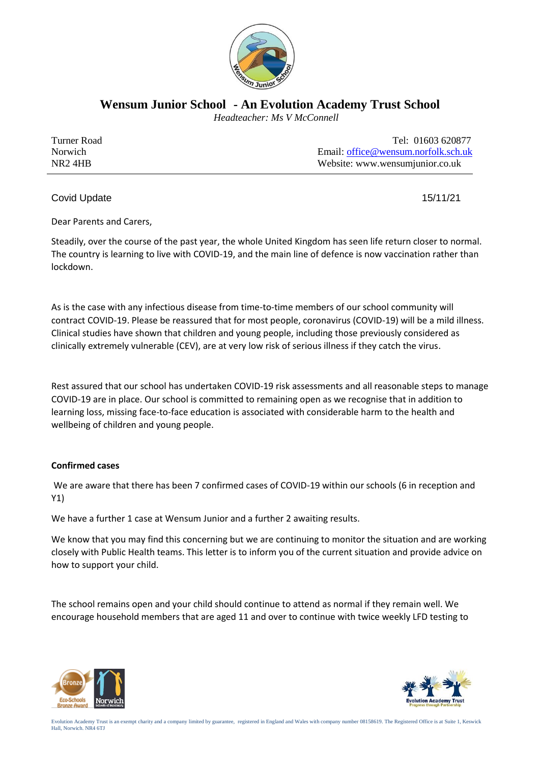

**Wensum Junior School - An Evolution Academy Trust School**

 *Headteacher: Ms V McConnell*

| Turner Road         | Tel: 01603 620877                   |
|---------------------|-------------------------------------|
| <b>Norwich</b>      | Email: office@wensum.norfolk.sch.uk |
| NR <sub>2</sub> 4HB | Website: www.wensumjunior.co.uk     |

Covid Update 15/11/21

Dear Parents and Carers,

Steadily, over the course of the past year, the whole United Kingdom has seen life return closer to normal. The country is learning to live with COVID-19, and the main line of defence is now vaccination rather than lockdown.

As is the case with any infectious disease from time-to-time members of our school community will contract COVID-19. Please be reassured that for most people, coronavirus (COVID-19) will be a mild illness. Clinical studies have shown that children and young people, including those previously considered as clinically extremely vulnerable (CEV), are at very low risk of serious illness if they catch the virus.

Rest assured that our school has undertaken COVID-19 risk assessments and all reasonable steps to manage COVID-19 are in place. Our school is committed to remaining open as we recognise that in addition to learning loss, missing face-to-face education is associated with considerable harm to the health and wellbeing of children and young people.

# **Confirmed cases**

We are aware that there has been 7 confirmed cases of COVID-19 within our schools (6 in reception and Y1)

We have a further 1 case at Wensum Junior and a further 2 awaiting results.

We know that you may find this concerning but we are continuing to monitor the situation and are working closely with Public Health teams. This letter is to inform you of the current situation and provide advice on how to support your child.

The school remains open and your child should continue to attend as normal if they remain well. We encourage household members that are aged 11 and over to continue with twice weekly LFD testing to



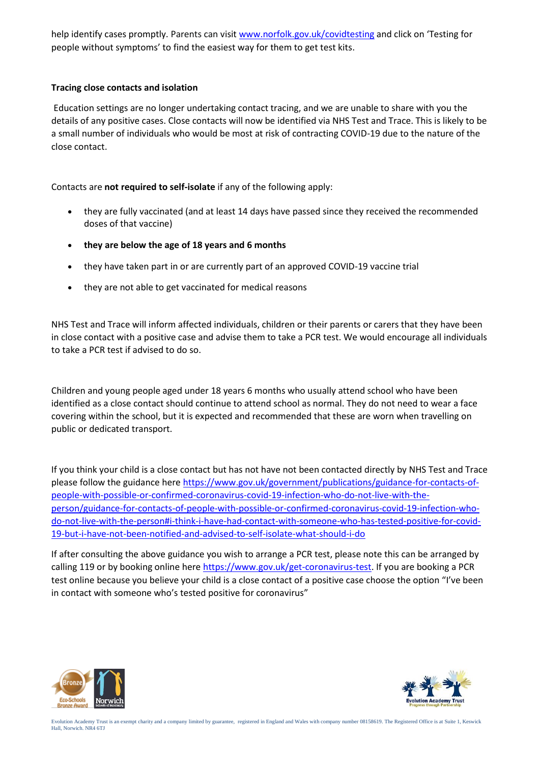help identify cases promptly. Parents can visi[t www.norfolk.gov.uk/covidtesting](http://www.norfolk.gov.uk/covidtesting) and click on 'Testing for people without symptoms' to find the easiest way for them to get test kits.

### **Tracing close contacts and isolation**

Education settings are no longer undertaking contact tracing, and we are unable to share with you the details of any positive cases. Close contacts will now be identified via NHS Test and Trace. This is likely to be a small number of individuals who would be most at risk of contracting COVID-19 due to the nature of the close contact.

# Contacts are **not required to self-isolate** if any of the following apply:

- they are fully vaccinated (and at least 14 days have passed since they received the recommended doses of that vaccine)
- **they are below the age of 18 years and 6 months**
- they have taken part in or are currently part of an approved COVID-19 vaccine trial
- they are not able to get vaccinated for medical reasons

NHS Test and Trace will inform affected individuals, children or their parents or carers that they have been in close contact with a positive case and advise them to take a PCR test. We would encourage all individuals to take a PCR test if advised to do so.

Children and young people aged under 18 years 6 months who usually attend school who have been identified as a close contact should continue to attend school as normal. They do not need to wear a face covering within the school, but it is expected and recommended that these are worn when travelling on public or dedicated transport.

If you think your child is a close contact but has not have not been contacted directly by NHS Test and Trace please follow the guidance here [https://www.gov.uk/government/publications/guidance-for-contacts-of](https://www.gov.uk/government/publications/guidance-for-contacts-of-people-with-possible-or-confirmed-coronavirus-covid-19-infection-who-do-not-live-with-the-person/guidance-for-contacts-of-people-with-possible-or-confirmed-coronavirus-covid-19-infection-who-do-not-live-with-the-person#i-think-i-have-had-contact-with-someone-who-has-tested-positive-for-covid-19-but-i-have-not-been-notified-and-advised-to-self-isolate-what-should-i-do)[people-with-possible-or-confirmed-coronavirus-covid-19-infection-who-do-not-live-with-the](https://www.gov.uk/government/publications/guidance-for-contacts-of-people-with-possible-or-confirmed-coronavirus-covid-19-infection-who-do-not-live-with-the-person/guidance-for-contacts-of-people-with-possible-or-confirmed-coronavirus-covid-19-infection-who-do-not-live-with-the-person#i-think-i-have-had-contact-with-someone-who-has-tested-positive-for-covid-19-but-i-have-not-been-notified-and-advised-to-self-isolate-what-should-i-do)[person/guidance-for-contacts-of-people-with-possible-or-confirmed-coronavirus-covid-19-infection-who](https://www.gov.uk/government/publications/guidance-for-contacts-of-people-with-possible-or-confirmed-coronavirus-covid-19-infection-who-do-not-live-with-the-person/guidance-for-contacts-of-people-with-possible-or-confirmed-coronavirus-covid-19-infection-who-do-not-live-with-the-person#i-think-i-have-had-contact-with-someone-who-has-tested-positive-for-covid-19-but-i-have-not-been-notified-and-advised-to-self-isolate-what-should-i-do)[do-not-live-with-the-person#i-think-i-have-had-contact-with-someone-who-has-tested-positive-for-covid-](https://www.gov.uk/government/publications/guidance-for-contacts-of-people-with-possible-or-confirmed-coronavirus-covid-19-infection-who-do-not-live-with-the-person/guidance-for-contacts-of-people-with-possible-or-confirmed-coronavirus-covid-19-infection-who-do-not-live-with-the-person#i-think-i-have-had-contact-with-someone-who-has-tested-positive-for-covid-19-but-i-have-not-been-notified-and-advised-to-self-isolate-what-should-i-do)[19-but-i-have-not-been-notified-and-advised-to-self-isolate-what-should-i-do](https://www.gov.uk/government/publications/guidance-for-contacts-of-people-with-possible-or-confirmed-coronavirus-covid-19-infection-who-do-not-live-with-the-person/guidance-for-contacts-of-people-with-possible-or-confirmed-coronavirus-covid-19-infection-who-do-not-live-with-the-person#i-think-i-have-had-contact-with-someone-who-has-tested-positive-for-covid-19-but-i-have-not-been-notified-and-advised-to-self-isolate-what-should-i-do)

If after consulting the above guidance you wish to arrange a PCR test, please note this can be arranged by calling 119 or by booking online here [https://www.gov.uk/get-coronavirus-test.](https://www.gov.uk/get-coronavirus-test) If you are booking a PCR test online because you believe your child is a close contact of a positive case choose the option "I've been in contact with someone who's tested positive for coronavirus"



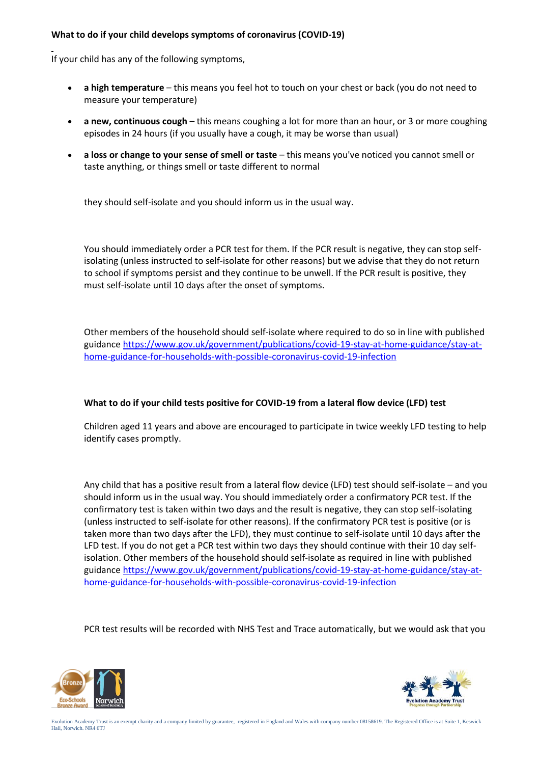#### **What to do if your child develops symptoms of coronavirus (COVID-19)**

If your child has any of the following symptoms,

- **a high temperature** this means you feel hot to touch on your chest or back (you do not need to measure your temperature)
- **a new, continuous cough** this means coughing a lot for more than an hour, or 3 or more coughing episodes in 24 hours (if you usually have a cough, it may be worse than usual)
- **a loss or change to your sense of smell or taste** this means you've noticed you cannot smell or taste anything, or things smell or taste different to normal

they should self-isolate and you should inform us in the usual way.

You should immediately order a PCR test for them. If the PCR result is negative, they can stop selfisolating (unless instructed to self-isolate for other reasons) but we advise that they do not return to school if symptoms persist and they continue to be unwell. If the PCR result is positive, they must self-isolate until 10 days after the onset of symptoms.

Other members of the household should self-isolate where required to do so in line with published guidanc[e https://www.gov.uk/government/publications/covid-19-stay-at-home-guidance/stay-at](https://www.gov.uk/government/publications/covid-19-stay-at-home-guidance/stay-at-home-guidance-for-households-with-possible-coronavirus-covid-19-infection)[home-guidance-for-households-with-possible-coronavirus-covid-19-infection](https://www.gov.uk/government/publications/covid-19-stay-at-home-guidance/stay-at-home-guidance-for-households-with-possible-coronavirus-covid-19-infection)

# **What to do if your child tests positive for COVID-19 from a lateral flow device (LFD) test**

Children aged 11 years and above are encouraged to participate in twice weekly LFD testing to help identify cases promptly.

Any child that has a positive result from a lateral flow device (LFD) test should self-isolate – and you should inform us in the usual way. You should immediately order a confirmatory PCR test. If the confirmatory test is taken within two days and the result is negative, they can stop self-isolating (unless instructed to self-isolate for other reasons). If the confirmatory PCR test is positive (or is taken more than two days after the LFD), they must continue to self-isolate until 10 days after the LFD test. If you do not get a PCR test within two days they should continue with their 10 day selfisolation. Other members of the household should self-isolate as required in line with published guidanc[e https://www.gov.uk/government/publications/covid-19-stay-at-home-guidance/stay-at](https://www.gov.uk/government/publications/covid-19-stay-at-home-guidance/stay-at-home-guidance-for-households-with-possible-coronavirus-covid-19-infection)[home-guidance-for-households-with-possible-coronavirus-covid-19-infection](https://www.gov.uk/government/publications/covid-19-stay-at-home-guidance/stay-at-home-guidance-for-households-with-possible-coronavirus-covid-19-infection)

PCR test results will be recorded with NHS Test and Trace automatically, but we would ask that you